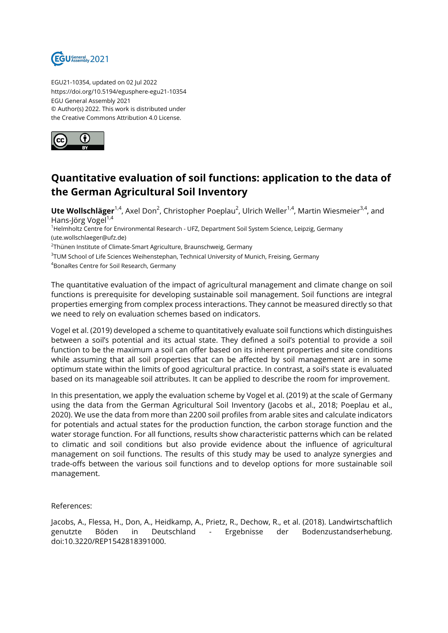

EGU21-10354, updated on 02 Jul 2022 https://doi.org/10.5194/egusphere-egu21-10354 EGU General Assembly 2021 © Author(s) 2022. This work is distributed under the Creative Commons Attribution 4.0 License.



## **Quantitative evaluation of soil functions: application to the data of the German Agricultural Soil Inventory**

**Ute Wollschläger**<sup>1,4</sup>, Axel Don<sup>2</sup>, Christopher Poeplau<sup>2</sup>, Ulrich Weller<sup>1,4</sup>, Martin Wiesmeier<sup>3,4</sup>, and Hans-Jörg Vogel $^{1,4}$ 

<sup>1</sup>Helmholtz Centre for Environmental Research - UFZ, Department Soil System Science, Leipzig, Germany (ute.wollschlaeger@ufz.de)

 $^{2}$ Thünen Institute of Climate-Smart Agriculture, Braunschweig, Germany

 $\rm ^3$ TUM School of Life Sciences Weihenstephan, Technical University of Munich, Freising, Germany

<sup>4</sup>BonaRes Centre for Soil Research, Germany

The quantitative evaluation of the impact of agricultural management and climate change on soil functions is prerequisite for developing sustainable soil management. Soil functions are integral properties emerging from complex process interactions. They cannot be measured directly so that we need to rely on evaluation schemes based on indicators.

Vogel et al. (2019) developed a scheme to quantitatively evaluate soil functions which distinguishes between a soil's potential and its actual state. They defined a soil's potential to provide a soil function to be the maximum a soil can offer based on its inherent properties and site conditions while assuming that all soil properties that can be affected by soil management are in some optimum state within the limits of good agricultural practice. In contrast, a soil's state is evaluated based on its manageable soil attributes. It can be applied to describe the room for improvement.

In this presentation, we apply the evaluation scheme by Vogel et al. (2019) at the scale of Germany using the data from the German Agricultural Soil Inventory (Jacobs et al., 2018; Poeplau et al., 2020). We use the data from more than 2200 soil profiles from arable sites and calculate indicators for potentials and actual states for the production function, the carbon storage function and the water storage function. For all functions, results show characteristic patterns which can be related to climatic and soil conditions but also provide evidence about the influence of agricultural management on soil functions. The results of this study may be used to analyze synergies and trade-offs between the various soil functions and to develop options for more sustainable soil management.

References:

Jacobs, A., Flessa, H., Don, A., Heidkamp, A., Prietz, R., Dechow, R., et al. (2018). Landwirtschaftlich genutzte Böden in Deutschland - Ergebnisse der Bodenzustandserhebung. doi:10.3220/REP1542818391000.